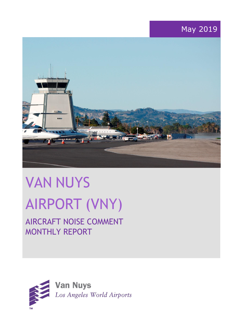# May 2019



# VAN NUYS AIRPORT (VNY)

# AIRCRAFT NOISE COMMENT MONTHLY REPORT

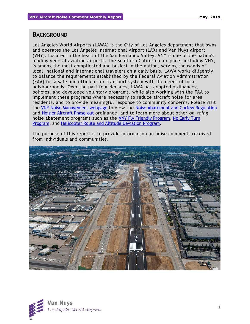#### **BACKGROUND**

Los Angeles World Airports (LAWA) is the City of Los Angeles department that owns and operates the Los Angeles International Airport (LAX) and Van Nuys Airport (VNY). Located in the heart of the San Fernando Valley, VNY is one of the nation's leading general aviation airports. The Southern California airspace, including VNY, is among the most complicated and busiest in the nation, serving thousands of local, national and international travelers on a daily basis. LAWA works diligently to balance the requirements established by the Federal Aviation Administration (FAA) for a safe and efficient air transport system with the needs of local neighborhoods. Over the past four decades, LAWA has adopted ordinances, policies, and developed voluntary programs, while also working with the FAA to implement these programs where necessary to reduce aircraft noise for area residents, and to provide meaningful response to community concerns. Please visit the [VNY Noise Management webpage](http://www.lawa.org/VNYNoise) to view the [Noise Abatement and Curfew Regulation](https://www.lawa.org/-/media/lawa-web/tenants411/file/noise_programs.ashx?la=en&hash=86DDE7D9764689AC37E24CD4FAA33C7FE9FC8DA1#"page=7" ) and [Noisier Aircraft Phase-out](https://www.lawa.org/-/media/lawa-web/tenants411/file/noise_programs.ashx?la=en&hash=86DDE7D9764689AC37E24CD4FAA33C7FE9FC8DA1#page=7) ordinance, and to learn more about other *on-going* noise abatement programs such as the [VNY Fly Friendly Program,](https://www.lawa.org/en/lawa-environment/noise-management/van-nuys/vny-fly-friendly-quiet-departure-program) [No Early Turn](https://prodcd.iflyvny.com/en/no-early-turn)  [Program,](https://prodcd.iflyvny.com/en/no-early-turn) and [Helicopter Route and Altitude Deviation Program.](https://www.lawa.org/-/media/lawa-web/tenants411/file/noise_programs.ashx?la=en&hash=86DDE7D9764689AC37E24CD4FAA33C7FE9FC8DA1#"page=8")

The purpose of this report is to provide information on noise comments received from individuals and communities.



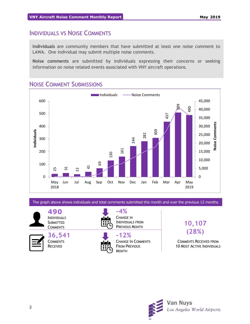## INDIVIDUALS VS NOISE COMMENTS

**Individuals** are community members that have submitted at least one noise comment to LAWA. One individual may submit multiple noise comments.

**Noise comments** are submitted by individuals expressing their concerns or seeking information on noise related events associated with VNY aircraft operations.

# NOISE COMMENT SUBMISSIONS



The graph above shows individuals and total comments submitted this month and over the previous 12 months.

**490** INDIVIDUALS **SUBMITTED COMMENTS** 

**36,541 COMMENTS** RECEIVED



**-4%** CHANGE IN INDIVIDUALS FROM PREVIOUS MONTH

#### **-12%** CHANGE IN COMMENTS FROM PREVIOUS MONTH



# **10,107 (28%)**

COMMENTS RECEIVED FROM 10 MOST ACTIVE INDIVIDUALS

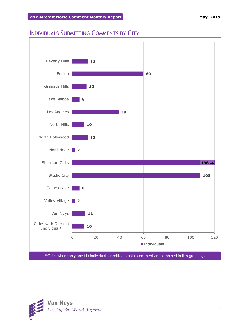# INDIVIDUALS SUBMITTING COMMENTS BY CITY



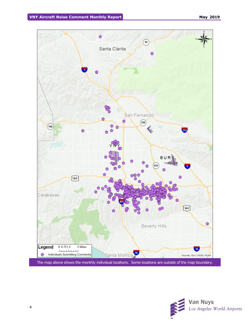

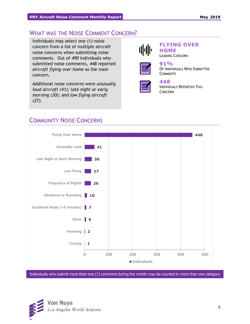# WHAT WAS THE NOISE COMMENT CONCERN?

Individuals may select one (1) noise concern from a list of multiple aircraft noise concerns when submitting noise comments. Out of *490* individuals who submitted noise comments, *448* reported *aircraft flying over home* as the main concern.

Additional noise concerns were *unusually loud aircraft (41); late night or early morning (30);* and *low flying aircraft (27)*.



#### **FLYING OVER HOME**

LEADING CONCERN



#### **91%** OF INDIVIDUALS WHO SUBMITTED **COMMENTS**



## **448**

INDIVIDUALS REPORTED THIS CONCERN



# COMMUNITY NOISE CONCERNS